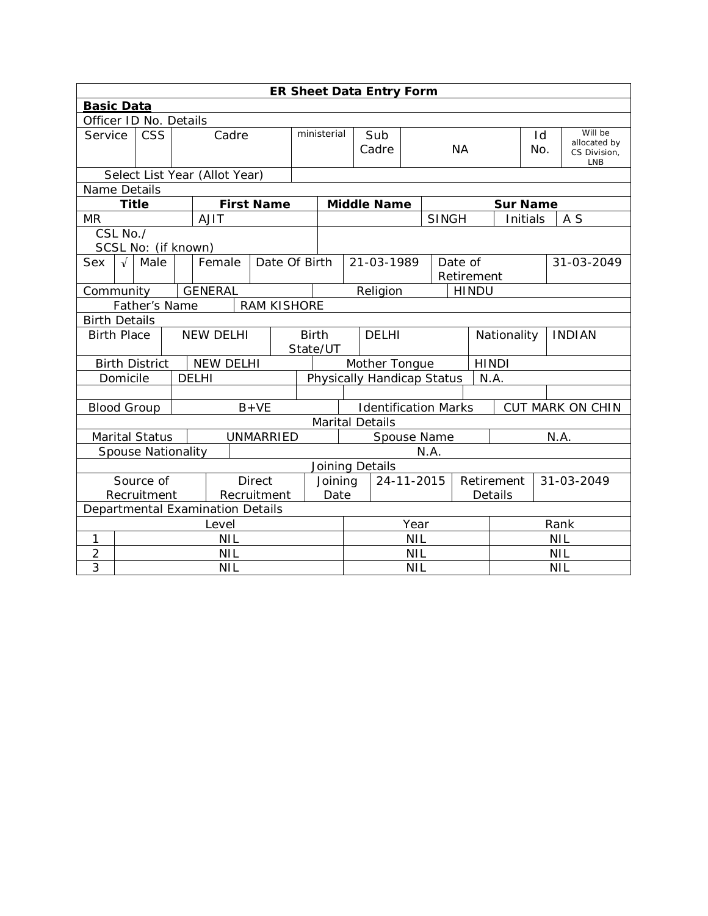|                        | ER Sheet Data Entry Form                                 |  |                               |                                    |                                                        |             |                                                 |                              |  |              |                       |                 |                         |  |                            |
|------------------------|----------------------------------------------------------|--|-------------------------------|------------------------------------|--------------------------------------------------------|-------------|-------------------------------------------------|------------------------------|--|--------------|-----------------------|-----------------|-------------------------|--|----------------------------|
|                        | <b>Basic Data</b>                                        |  |                               |                                    |                                                        |             |                                                 |                              |  |              |                       |                 |                         |  |                            |
| Officer ID No. Details |                                                          |  |                               |                                    |                                                        |             |                                                 |                              |  |              |                       |                 |                         |  |                            |
| Service                | <b>CSS</b>                                               |  | Cadre                         |                                    |                                                        | ministerial | Sub<br>Cadre<br><b>NA</b>                       |                              |  |              | Id<br>No.             |                 | Will be<br>allocated by |  |                            |
|                        |                                                          |  |                               |                                    |                                                        |             |                                                 |                              |  |              |                       |                 |                         |  | CS Division,<br><b>LNB</b> |
|                        |                                                          |  | Select List Year (Allot Year) |                                    |                                                        |             |                                                 |                              |  |              |                       |                 |                         |  |                            |
| Name Details           |                                                          |  |                               |                                    |                                                        |             |                                                 |                              |  |              |                       |                 |                         |  |                            |
| <b>Title</b>           |                                                          |  |                               | <b>First Name</b>                  |                                                        |             |                                                 | <b>Middle Name</b>           |  |              |                       | <b>Sur Name</b> |                         |  |                            |
| <b>MR</b>              |                                                          |  | <b>AJIT</b>                   |                                    |                                                        |             |                                                 |                              |  | <b>SINGH</b> |                       |                 | Initials                |  | A S                        |
| CSL No./               |                                                          |  |                               |                                    |                                                        |             |                                                 |                              |  |              |                       |                 |                         |  |                            |
| SCSL No: (if known)    |                                                          |  |                               |                                    |                                                        |             |                                                 |                              |  |              |                       |                 |                         |  |                            |
| Sex<br>$\sqrt{ }$      | Male                                                     |  | Female                        | Date Of Birth                      |                                                        |             |                                                 | 21-03-1989                   |  |              | Date of<br>Retirement |                 |                         |  | 31-03-2049                 |
| Community              | <b>GENERAL</b><br>Religion<br><b>HINDU</b>               |  |                               |                                    |                                                        |             |                                                 |                              |  |              |                       |                 |                         |  |                            |
|                        | <b>RAM KISHORE</b><br>Father's Name                      |  |                               |                                    |                                                        |             |                                                 |                              |  |              |                       |                 |                         |  |                            |
|                        | <b>Birth Details</b>                                     |  |                               |                                    |                                                        |             |                                                 |                              |  |              |                       |                 |                         |  |                            |
| <b>Birth Place</b>     | <b>NEW DELHI</b><br><b>Birth</b>                         |  |                               | <b>DELHI</b><br>State/UT           |                                                        |             |                                                 | Nationality<br><b>INDIAN</b> |  |              |                       |                 |                         |  |                            |
|                        | <b>NEW DELHI</b><br><b>Birth District</b>                |  |                               |                                    |                                                        |             |                                                 | Mother Tongue                |  |              |                       | <b>HINDI</b>    |                         |  |                            |
|                        | <b>DELHI</b><br>Domicile                                 |  |                               | Physically Handicap Status<br>N.A. |                                                        |             |                                                 |                              |  |              |                       |                 |                         |  |                            |
|                        |                                                          |  |                               |                                    |                                                        |             |                                                 |                              |  |              |                       |                 |                         |  |                            |
| <b>Blood Group</b>     |                                                          |  |                               | $B+VE$                             |                                                        |             | <b>Identification Marks</b><br>CUT MARK ON CHIN |                              |  |              |                       |                 |                         |  |                            |
|                        |                                                          |  |                               |                                    |                                                        |             |                                                 | <b>Marital Details</b>       |  |              |                       |                 |                         |  |                            |
|                        | <b>Marital Status</b><br><b>UNMARRIED</b>                |  |                               | Spouse Name<br>N.A.                |                                                        |             |                                                 |                              |  |              |                       |                 |                         |  |                            |
|                        | <b>Spouse Nationality</b><br>N.A.                        |  |                               |                                    |                                                        |             |                                                 |                              |  |              |                       |                 |                         |  |                            |
|                        | Joining Details                                          |  |                               |                                    |                                                        |             |                                                 |                              |  |              |                       |                 |                         |  |                            |
|                        | Source of<br><b>Direct</b><br>Recruitment<br>Recruitment |  |                               |                                    | 24-11-2015<br>Retirement<br>Joining<br>Date<br>Details |             |                                                 |                              |  |              | 31-03-2049            |                 |                         |  |                            |
|                        | Departmental Examination Details                         |  |                               |                                    |                                                        |             |                                                 |                              |  |              |                       |                 |                         |  |                            |
|                        | Level                                                    |  |                               |                                    |                                                        |             | Year                                            |                              |  |              | Rank                  |                 |                         |  |                            |
| 1                      | <b>NIL</b>                                               |  |                               |                                    |                                                        |             | <b>NIL</b>                                      |                              |  |              | <b>NIL</b>            |                 |                         |  |                            |
| $\overline{2}$         | <b>NIL</b>                                               |  |                               |                                    |                                                        |             | <b>NIL</b>                                      |                              |  |              | <b>NIL</b>            |                 |                         |  |                            |
| 3                      | <b>NIL</b>                                               |  |                               |                                    |                                                        |             | <b>NIL</b><br><b>NIL</b>                        |                              |  |              |                       |                 |                         |  |                            |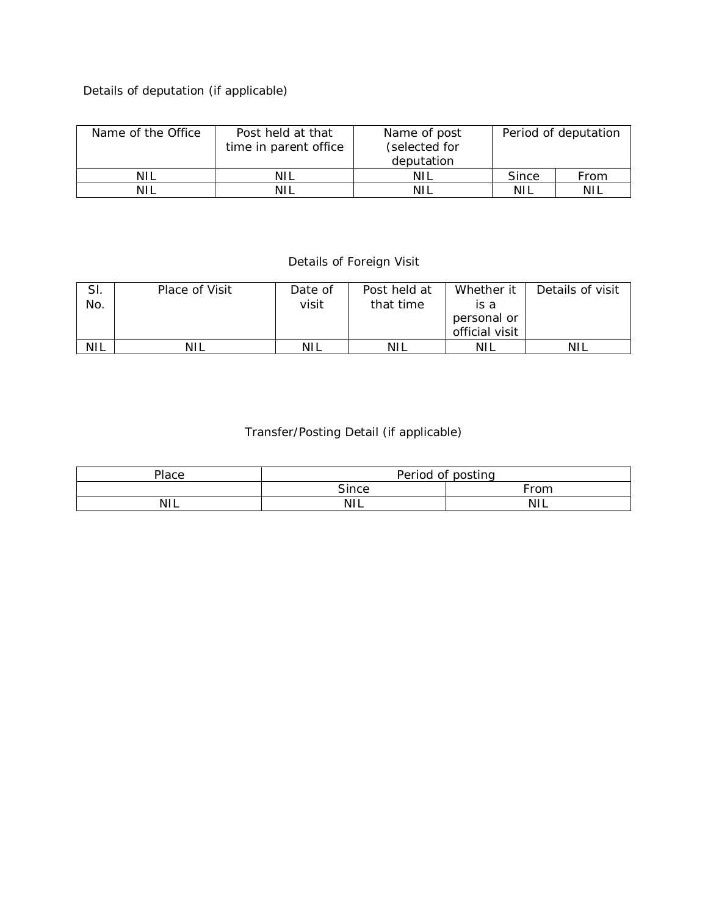## Details of deputation (if applicable)

| Name of the Office<br>Post held at that<br>time in parent office |     | Name of post<br>(selected for<br>deputation | Period of deputation |      |  |
|------------------------------------------------------------------|-----|---------------------------------------------|----------------------|------|--|
| <b>NIL</b>                                                       | NIL | -NIL                                        | Since                | From |  |
| NH.                                                              | NIL | ΝH                                          | NIL                  | NIL  |  |

## Details of Foreign Visit

| SI.        | Place of Visit | Date of | Post held at | Whether it     | Details of visit |
|------------|----------------|---------|--------------|----------------|------------------|
| No.        |                | visit   | that time    | is a           |                  |
|            |                |         |              | personal or    |                  |
|            |                |         |              | official visit |                  |
| <b>NIL</b> | NIL            | NIL     | <b>NIL</b>   | NIL            | <b>NIL</b>       |

## Transfer/Posting Detail (if applicable)

| Place      | Period of posting |            |  |  |  |
|------------|-------------------|------------|--|--|--|
|            | Since             | From       |  |  |  |
| <b>NIL</b> | <b>NIL</b>        | <b>NIL</b> |  |  |  |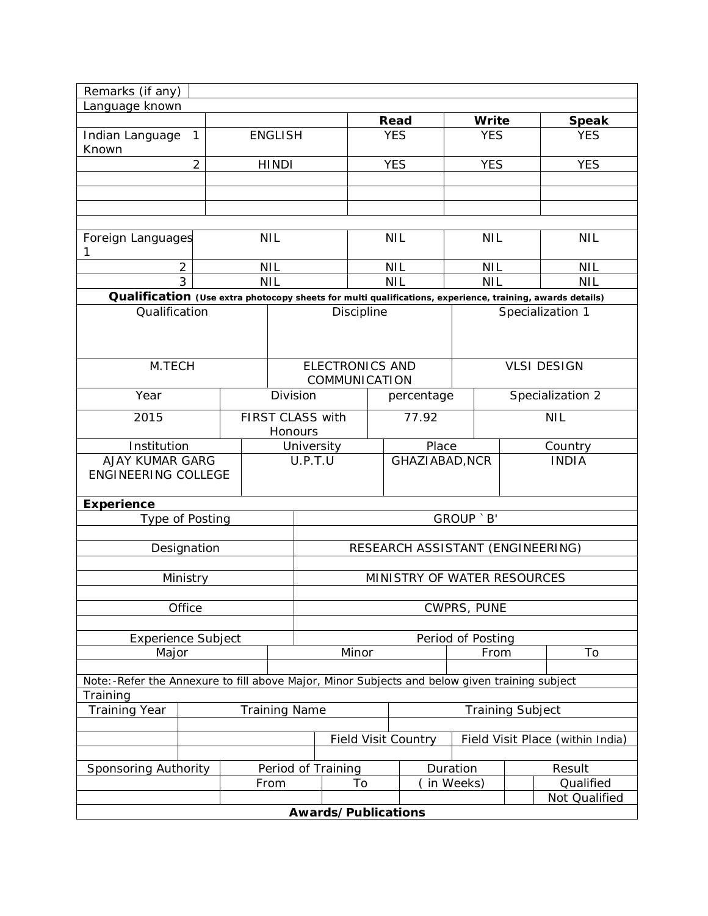| Remarks (if any)                                                                                          |                |  |                    |                        |    |                                  |                     |                  |                            |  |
|-----------------------------------------------------------------------------------------------------------|----------------|--|--------------------|------------------------|----|----------------------------------|---------------------|------------------|----------------------------|--|
| Language known                                                                                            |                |  |                    |                        |    |                                  |                     |                  |                            |  |
| Indian Language                                                                                           | 1              |  | <b>ENGLISH</b>     |                        |    | Read<br><b>YES</b>               | Write<br><b>YES</b> |                  | <b>Speak</b><br><b>YES</b> |  |
| Known                                                                                                     |                |  |                    |                        |    |                                  |                     |                  |                            |  |
|                                                                                                           | $\overline{2}$ |  | <b>HINDI</b>       |                        |    | <b>YES</b>                       | <b>YES</b>          |                  | <b>YES</b>                 |  |
|                                                                                                           |                |  |                    |                        |    |                                  |                     |                  |                            |  |
|                                                                                                           |                |  |                    |                        |    |                                  |                     |                  |                            |  |
|                                                                                                           |                |  |                    |                        |    |                                  |                     |                  |                            |  |
|                                                                                                           |                |  |                    |                        |    |                                  |                     |                  |                            |  |
| Foreign Languages<br>1                                                                                    |                |  | <b>NIL</b>         |                        |    | <b>NIL</b>                       | <b>NIL</b>          |                  | <b>NIL</b>                 |  |
| 2                                                                                                         |                |  | <b>NIL</b>         |                        |    | <b>NIL</b>                       | <b>NIL</b>          |                  | <b>NIL</b>                 |  |
| $\overline{3}$                                                                                            |                |  | <b>NIL</b>         |                        |    | <b>NIL</b>                       | <b>NIL</b>          |                  | <b>NIL</b>                 |  |
| Qualification (Use extra photocopy sheets for multi qualifications, experience, training, awards details) |                |  |                    |                        |    |                                  |                     |                  |                            |  |
| Qualification                                                                                             |                |  |                    | Discipline             |    |                                  |                     |                  | Specialization 1           |  |
|                                                                                                           |                |  |                    |                        |    |                                  |                     |                  |                            |  |
|                                                                                                           |                |  |                    |                        |    |                                  |                     |                  |                            |  |
| M.TECH                                                                                                    |                |  |                    | <b>ELECTRONICS AND</b> |    |                                  |                     |                  | <b>VLSI DESIGN</b>         |  |
|                                                                                                           |                |  |                    | COMMUNICATION          |    |                                  |                     |                  |                            |  |
| Year                                                                                                      |                |  | Division           |                        |    | percentage                       |                     | Specialization 2 |                            |  |
| 2015                                                                                                      |                |  |                    | FIRST CLASS with       |    | 77.92                            |                     |                  | <b>NIL</b>                 |  |
|                                                                                                           |                |  | Honours            |                        |    |                                  |                     |                  |                            |  |
| Institution                                                                                               |                |  | University         |                        |    | Place                            |                     |                  | Country                    |  |
| <b>AJAY KUMAR GARG</b>                                                                                    |                |  | U.P.T.U            |                        |    | GHAZIABAD, NCR                   |                     |                  | <b>INDIA</b>               |  |
| <b>ENGINEERING COLLEGE</b>                                                                                |                |  |                    |                        |    |                                  |                     |                  |                            |  |
| <b>Experience</b>                                                                                         |                |  |                    |                        |    |                                  |                     |                  |                            |  |
| Type of Posting                                                                                           |                |  |                    |                        |    |                                  | GROUP `B'           |                  |                            |  |
|                                                                                                           |                |  |                    |                        |    |                                  |                     |                  |                            |  |
|                                                                                                           | Designation    |  |                    |                        |    | RESEARCH ASSISTANT (ENGINEERING) |                     |                  |                            |  |
|                                                                                                           |                |  |                    |                        |    |                                  |                     |                  |                            |  |
|                                                                                                           | Ministry       |  |                    |                        |    | MINISTRY OF WATER RESOURCES      |                     |                  |                            |  |
|                                                                                                           | Office         |  |                    |                        |    |                                  | CWPRS, PUNE         |                  |                            |  |
|                                                                                                           |                |  |                    |                        |    |                                  |                     |                  |                            |  |
| <b>Experience Subject</b>                                                                                 |                |  |                    |                        |    |                                  | Period of Posting   |                  |                            |  |
| Major                                                                                                     |                |  |                    | Minor                  |    |                                  |                     | To<br>From       |                            |  |
|                                                                                                           |                |  |                    |                        |    |                                  |                     |                  |                            |  |
| Note: -Refer the Annexure to fill above Major, Minor Subjects and below given training subject            |                |  |                    |                        |    |                                  |                     |                  |                            |  |
| Training                                                                                                  |                |  |                    |                        |    |                                  |                     |                  |                            |  |
| <b>Training Year</b><br><b>Training Name</b><br><b>Training Subject</b>                                   |                |  |                    |                        |    |                                  |                     |                  |                            |  |
| <b>Field Visit Country</b><br>Field Visit Place (within India)                                            |                |  |                    |                        |    |                                  |                     |                  |                            |  |
|                                                                                                           |                |  |                    |                        |    |                                  |                     |                  |                            |  |
| Sponsoring Authority                                                                                      |                |  | Period of Training |                        |    | Duration                         |                     |                  | Result                     |  |
|                                                                                                           |                |  | From               |                        | To | in Weeks)                        |                     |                  | Qualified                  |  |
|                                                                                                           |                |  |                    |                        |    |                                  |                     | Not Qualified    |                            |  |
| Awards/Publications                                                                                       |                |  |                    |                        |    |                                  |                     |                  |                            |  |